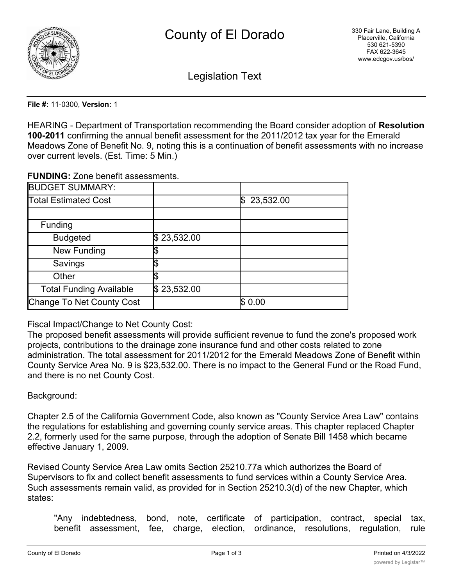

Legislation Text

**File #:** 11-0300, **Version:** 1

HEARING - Department of Transportation recommending the Board consider adoption of **Resolution 100-2011** confirming the annual benefit assessment for the 2011/2012 tax year for the Emerald Meadows Zone of Benefit No. 9, noting this is a continuation of benefit assessments with no increase over current levels. (Est. Time: 5 Min.)

**FUNDING:** Zone benefit assessments.

| <b>BUDGET SUMMARY:</b>         |             |                  |
|--------------------------------|-------------|------------------|
| <b>Total Estimated Cost</b>    |             | 23,532.00<br>I\$ |
|                                |             |                  |
| Funding                        |             |                  |
| <b>Budgeted</b>                | \$23,532.00 |                  |
| <b>New Funding</b>             |             |                  |
| Savings                        |             |                  |
| Other                          |             |                  |
| <b>Total Funding Available</b> | \$23,532.00 |                  |
| Change To Net County Cost      |             | \$0.00           |

Fiscal Impact/Change to Net County Cost:

The proposed benefit assessments will provide sufficient revenue to fund the zone's proposed work projects, contributions to the drainage zone insurance fund and other costs related to zone administration. The total assessment for 2011/2012 for the Emerald Meadows Zone of Benefit within County Service Area No. 9 is \$23,532.00. There is no impact to the General Fund or the Road Fund, and there is no net County Cost.

## Background:

Chapter 2.5 of the California Government Code, also known as "County Service Area Law" contains the regulations for establishing and governing county service areas. This chapter replaced Chapter 2.2, formerly used for the same purpose, through the adoption of Senate Bill 1458 which became effective January 1, 2009.

Revised County Service Area Law omits Section 25210.77a which authorizes the Board of Supervisors to fix and collect benefit assessments to fund services within a County Service Area. Such assessments remain valid, as provided for in Section 25210.3(d) of the new Chapter, which states:

"Any indebtedness, bond, note, certificate of participation, contract, special tax, benefit assessment, fee, charge, election, ordinance, resolutions, regulation, rule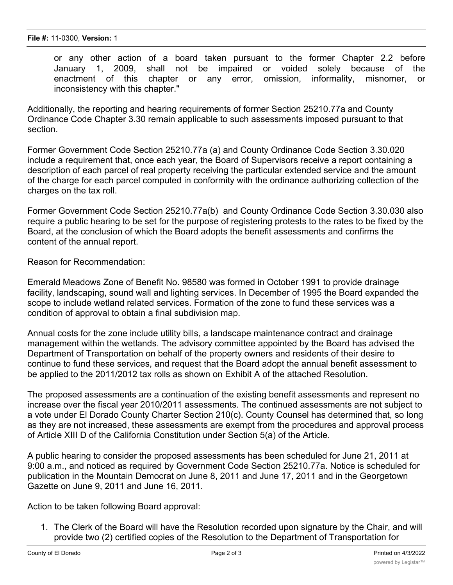or any other action of a board taken pursuant to the former Chapter 2.2 before January 1, 2009, shall not be impaired or voided solely because of the enactment of this chapter or any error, omission, informality, misnomer, or inconsistency with this chapter."

Additionally, the reporting and hearing requirements of former Section 25210.77a and County Ordinance Code Chapter 3.30 remain applicable to such assessments imposed pursuant to that section.

Former Government Code Section 25210.77a (a) and County Ordinance Code Section 3.30.020 include a requirement that, once each year, the Board of Supervisors receive a report containing a description of each parcel of real property receiving the particular extended service and the amount of the charge for each parcel computed in conformity with the ordinance authorizing collection of the charges on the tax roll.

Former Government Code Section 25210.77a(b) and County Ordinance Code Section 3.30.030 also require a public hearing to be set for the purpose of registering protests to the rates to be fixed by the Board, at the conclusion of which the Board adopts the benefit assessments and confirms the content of the annual report.

Reason for Recommendation:

Emerald Meadows Zone of Benefit No. 98580 was formed in October 1991 to provide drainage facility, landscaping, sound wall and lighting services. In December of 1995 the Board expanded the scope to include wetland related services. Formation of the zone to fund these services was a condition of approval to obtain a final subdivision map.

Annual costs for the zone include utility bills, a landscape maintenance contract and drainage management within the wetlands. The advisory committee appointed by the Board has advised the Department of Transportation on behalf of the property owners and residents of their desire to continue to fund these services, and request that the Board adopt the annual benefit assessment to be applied to the 2011/2012 tax rolls as shown on Exhibit A of the attached Resolution.

The proposed assessments are a continuation of the existing benefit assessments and represent no increase over the fiscal year 2010/2011 assessments. The continued assessments are not subject to a vote under El Dorado County Charter Section 210(c). County Counsel has determined that, so long as they are not increased, these assessments are exempt from the procedures and approval process of Article XIII D of the California Constitution under Section 5(a) of the Article.

A public hearing to consider the proposed assessments has been scheduled for June 21, 2011 at 9:00 a.m., and noticed as required by Government Code Section 25210.77a. Notice is scheduled for publication in the Mountain Democrat on June 8, 2011 and June 17, 2011 and in the Georgetown Gazette on June 9, 2011 and June 16, 2011.

Action to be taken following Board approval:

1. The Clerk of the Board will have the Resolution recorded upon signature by the Chair, and will provide two (2) certified copies of the Resolution to the Department of Transportation for